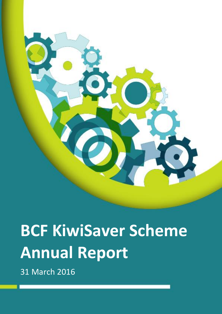

# **BCF KiwiSaver Scheme Annual Report**

31 March 2016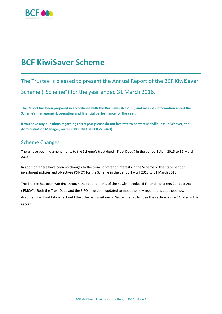

# **BCF KiwiSaver Scheme**

### The Trustee is pleased to present the Annual Report of the BCF KiwiSaver

Scheme ("Scheme") for the year ended 31 March 2016.

**The Report has been prepared in accordance with the KiwiSaver Act 2006, and includes information about the Scheme's management, operation and financial performance for the year.** 

**If you have any questions regarding this report please do not hesitate to contact Melville Jessup Weaver, the Administration Manager, on 0800 BCF INFO (0800 223 463).**

### Scheme Changes

There have been no amendments to the Scheme's trust deed ('Trust Deed') in the period 1 April 2015 to 31 March 2016.

In addition, there have been no changes to the terms of offer of interests in the Scheme or the statement of investment policies and objectives ('SIPO') for the Scheme in the period 1 April 2015 to 31 March 2016.

The Trustee has been working through the requirements of the newly introduced Financial Markets Conduct Act ('FMCA'). Both the Trust Deed and the SIPO have been updated to meet the new regulations but these new documents will not take effect until the Scheme transitions in September 2016. See the section on FMCA later in this report.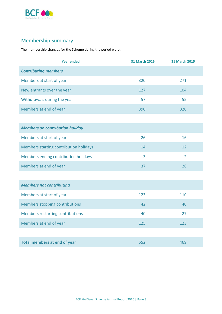

### Membership Summary

The membership changes for the Scheme during the period were:

| <b>Year ended</b>                       | <b>31 March 2016</b> | <b>31 March 2015</b> |
|-----------------------------------------|----------------------|----------------------|
| <b>Contributing members</b>             |                      |                      |
| Members at start of year                | 320                  | 271                  |
| New entrants over the year              | 127                  | 104                  |
| Withdrawals during the year             | $-57$                | $-55$                |
| Members at end of year                  | 390                  | 320                  |
|                                         |                      |                      |
| <b>Members on contribution holiday</b>  |                      |                      |
| Members at start of year                | 26                   | 16                   |
| Members starting contribution holidays  | 14                   | 12                   |
| Members ending contribution holidays    | $-3$                 | $-2$                 |
| Members at end of year                  | 37                   | 26                   |
|                                         |                      |                      |
| <b>Members not contributing</b>         |                      |                      |
| Members at start of year                | 123                  | 110                  |
| Members stopping contributions          | 42                   | 40                   |
| <b>Members restarting contributions</b> | $-40$                | $-27$                |
| Members at end of year                  | 125                  | 123                  |
|                                         |                      |                      |
| <b>Total members at end of year</b>     | 552                  | 469                  |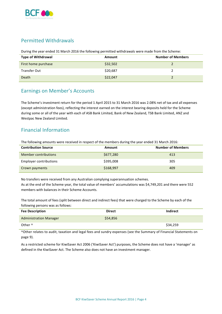

### Permitted Withdrawals

During the year ended 31 March 2016 the following permitted withdrawals were made from the Scheme:

| <b>Type of Withdrawal</b> | Amount   | <b>Number of Members</b> |
|---------------------------|----------|--------------------------|
| First home purchase       | \$32,502 |                          |
| Transfer Out              | \$20,687 |                          |
| Death                     | \$22,047 |                          |

#### Earnings on Member's Accounts

The Scheme's investment return for the period 1 April 2015 to 31 March 2016 was 2.08% net of tax and all expenses (except administration fees), reflecting the interest earned on the interest bearing deposits held for the Scheme during some or all of the year with each of ASB Bank Limited, Bank of New Zealand, TSB Bank Limited, ANZ and Westpac New Zealand Limited.

### Financial Information

The following amounts were received in respect of the members during the year ended 31 March 2016:

| <b>Contribution Source</b> | Amount    | <b>Number of Members</b> |
|----------------------------|-----------|--------------------------|
| Member contributions       | \$677,280 | 413                      |
| Employer contributions     | \$395,008 | 305                      |
| Crown payments             | \$168,997 | 409                      |

No transfers were received from any Australian complying superannuation schemes. As at the end of the Scheme year, the total value of members' accumulations was \$4,749,201 and there were 552 members with balances in their Scheme Accounts.

The total amount of fees (split between direct and indirect fees) that were charged to the Scheme by each of the following persons was as follows:

| <b>Fee Description</b>        | <b>Direct</b> | Indirect |
|-------------------------------|---------------|----------|
| <b>Administration Manager</b> | \$54,856      |          |
| Other ^                       |               | \$34,259 |

^Other relates to audit, taxation and legal fees and sundry expenses (see the Summary of Financial Statements on page 9).

As a restricted scheme for KiwiSaver Act 2006 ('KiwiSaver Act') purposes, the Scheme does not have a 'manager' as defined in the KiwiSaver Act. The Scheme also does not have an investment manager.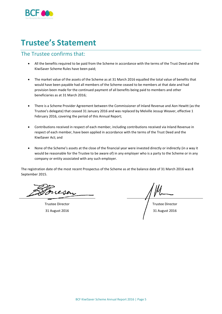

# **Trustee's Statement**

#### The Trustee confirms that:

- All the benefits required to be paid from the Scheme in accordance with the terms of the Trust Deed and the KiwiSaver Scheme Rules have been paid;
- The market value of the assets of the Scheme as at 31 March 2016 equalled the total value of benefits that would have been payable had all members of the Scheme ceased to be members at that date and had provision been made for the continued payment of all benefits being paid to members and other beneficiaries as at 31 March 2016;
- There is a Scheme Provider Agreement between the Commissioner of Inland Revenue and Aon Hewitt (as the Trustee's delegate) that ceased 31 January 2016 and was replaced by Melville Jessup Weaver, effective 1 February 2016, covering the period of this Annual Report;
- Contributions received in respect of each member, including contributions received via Inland Revenue in respect of each member, have been applied in accordance with the terms of the Trust Deed and the KiwiSaver Act; and
- None of the Scheme's assets at the close of the financial year were invested directly or indirectly (in a way it would be reasonable for the Trustee to be aware of) in any employer who is a party to the Scheme or in any company or entity associated with any such employer.

The registration date of the most recent Prospectus of the Scheme as at the balance date of 31 March 2016 was 8 September 2015.

Incesen

Trustee Director Trustee Director 31 August 2016 31 August 2016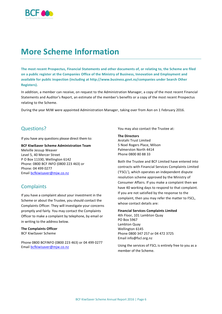

## **More Scheme Information**

**The most recent Prospectus, Financial Statements and other documents of, or relating to, the Scheme are filed on a public register at the Companies Office of the Ministry of Business, Innovation and Employment and available for public inspection (including at http://www.business.govt.nz/companies under Search Other Registers).**

In addition, a member can receive, on request to the Administration Manager, a copy of the most recent Financial Statements and Auditor's Report, an estimate of the member's benefits or a copy of the most recent Prospectus relating to the Scheme.

During the year MJW were appointed Administration Manager, taking over from Aon on 1 February 2016.

#### Questions?

If you have any questions please direct them to:

#### **BCF KiwiSaver Scheme Administration Team**

Melville Jessup Weaver Level 5, 40 Mercer Street P O Box 11330, Wellington 6142 Phone: 0800 BCF INFO (0800 223 463) or Phone: 04 499 0277 Email [bcfkiwisaver@mjw.co.nz](mailto:bcfkiwisaver@mjw.co.nz)

### **Complaints**

If you have a complaint about your investment in the Scheme or about the Trustee, you should contact the Complaints Officer. They will investigate your concerns promptly and fairly. You may contact the Complaints Officer to make a complaint by telephone, by email or in writing to the address below.

#### **The Complaints Officer** BCF KiwiSaver Scheme

Phone 0800 BCFINFO (0800 223 463) or 04 499 0277 Email [bcfkiwisaver@mjw.co.nz](mailto:bcfkiwisaver@mjw.co.nz)

You may also contact the Trustee at:

#### **The Directors**

Arotahi Trust Limited 5 Noel Rogers Place, Milson Palmerston North 4414 Phone 0800 80 88 33

Both the Trustee and BCF Limited have entered into contracts with Financial Services Complaints Limited ('FSCL'), which operates an independent dispute resolution scheme approved by the Ministry of Consumer Affairs. If you make a complaint then we have 40 working days to respond to that complaint. If you are not satisfied by the response to the complaint, then you may refer the matter to FSCL, whose contact details are:

#### **Financial Services Complaints Limited**

4th Floor, 101 Lambton Quay PO Box 5967 Lambton Quay Wellington 6145 Phone 0800 347 257 or 04 472 3725 Email info@fscl.org.nz

Using the services of FSCL is entirely free to you as a member of the Scheme.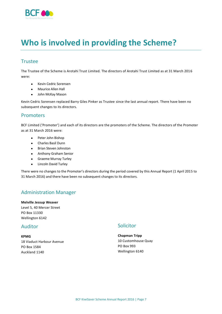

# **Who is involved in providing the Scheme?**

### **Trustee**

The Trustee of the Scheme is Arotahi Trust Limited. The directors of Arotahi Trust Limited as at 31 March 2016 were:

- Kevin Cedric Sorensen
- Maurice Allen Hall
- John McKay Mason

Kevin Cedric Sorensen replaced Barry Giles Pinker as Trustee since the last annual report. There have been no subsequent changes to its directors.

#### Promoters

BCF Limited ('Promoter') and each of its directors are the promoters of the Scheme. The directors of the Promoter as at 31 March 2016 were:

- Peter John Bishop
- Charles Basil Dunn
- Brian Steven Johnston
- Anthony Graham Senior
- Graeme Murray Turley
- **•** Lincoln David Turley

There were no changes to the Promoter's directors during the period covered by this Annual Report (1 April 2015 to 31 March 2016) and there have been no subsequent changes to its directors.

### Administration Manager

**Melville Jessup Weaver** Level 5, 40 Mercer Street PO Box 11330 Wellington 6142

#### Auditor

**KPMG** 18 Viaduct Harbour Avenue PO Box 1584 Auckland 1140

#### **Solicitor**

**Chapman Tripp** 10 Customhouse Quay PO Box 993 Wellington 6140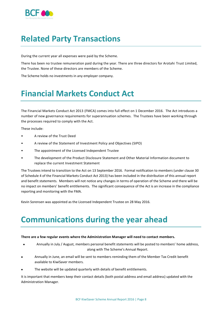

# **Related Party Transactions**

During the current year all expenses were paid by the Scheme.

There has been no trustee remuneration paid during the year. There are three directors for Arotahi Trust Limited, the Trustee. None of these directors are members of the Scheme.

The Scheme holds no investments in any employer company.

# **Financial Markets Conduct Act**

The Financial Markets Conduct Act 2013 (FMCA) comes into full effect on 1 December 2016. The Act introduces a number of new governance requirements for superannuation schemes. The Trustees have been working through the processes required to comply with the Act.

These include:

- A review of the Trust Deed
- A review of the Statement of Investment Policy and Objectives (SIPO)
- The appointment of the Licensed Independent Trustee
- The development of the Product Disclosure Statement and Other Material Information document to replace the current Investment Statement

The Trustees intend to transition to the Act on 13 September 2016. Formal notification to members (under clause 30 of Schedule 4 of the Financial Markets Conduct Act 2013) has been included in the distribution of this annual report and benefit statements. Members will not notice any changes in terms of operation of the Scheme and there will be no impact on members' benefit entitlements. The significant consequence of the Act is an increase in the compliance reporting and monitoring with the FMA.

Kevin Sorensen was appointed as the Licensed Independent Trustee on 28 May 2016.

# **Communications during the year ahead**

#### **There are a few regular events where the Administration Manager will need to contact members.**

- Annually in July / August, members personal benefit statements will be posted to members' home address, along with The Scheme's Annual Report.
- Annually in June, an email will be sent to members reminding them of the Member Tax Credit benefit available to KiwiSaver members.
- The website will be updated quarterly with details of benefit entitlements.

It is important that members keep their contact details (both postal address and email address) updated with the Administration Manager.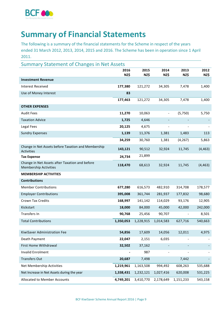

# **Summary of Financial Statements**

The following is a summary of the financial statements for the Scheme in respect of the years ended 31 March 2012, 2013, 2014, 2015 and 2016. The Scheme has been in operation since 1 April 2011.

| <b>Summary Statement of Changes in Net Assets</b>                              |           |           |                              |           |          |
|--------------------------------------------------------------------------------|-----------|-----------|------------------------------|-----------|----------|
|                                                                                | 2016      | 2015      | 2014                         | 2013      | 2012     |
| <b>Investment Revenue</b>                                                      | NZ\$      | NZ\$      | NZ\$                         | NZ\$      | NZ\$     |
| <b>Interest Received</b>                                                       | 177,380   | 121,272   | 34,305                       | 7,478     | 1,400    |
|                                                                                |           |           |                              |           |          |
| Use of Money Interest                                                          | 83        |           |                              |           |          |
|                                                                                | 177,463   | 121,272   | 34,305                       | 7,478     | 1,400    |
| <b>OTHER EXPENSES</b>                                                          |           |           |                              |           |          |
| <b>Audit Fees</b>                                                              | 11,270    | 10,063    | $\qquad \qquad \blacksquare$ | (5,750)   | 5,750    |
| <b>Taxation Advice</b>                                                         | 1,725     | 4,646     | $\overline{\phantom{a}}$     |           |          |
| Legal Fees                                                                     | 20,125    | 4,675     | $\overline{\phantom{a}}$     |           |          |
| <b>Sundry Expenses</b>                                                         | 1,139     | 11,376    | 1,381                        | 1,483     | 113      |
|                                                                                | 34,259    | 30,760    | 1,381                        | (4, 267)  | 5,863    |
| Change in Net Assets before Taxation and Membership<br>Activities              | 143,121   | 90,512    | 32,924                       | 11,745    | (4, 463) |
| <b>Tax Expense</b>                                                             | 24,734    | 21,899    |                              |           |          |
| Change in Net Assets after Taxation and before<br><b>Membership Activities</b> | 118,470   | 68,613    | 32,924                       | 11,745    | (4, 463) |
| <b>MEMBERSHIP ACTIVITIES</b>                                                   |           |           |                              |           |          |
| <b>Contributions</b>                                                           |           |           |                              |           |          |
| <b>Member Contributions</b>                                                    | 677,280   | 616,573   | 482,910                      | 314,708   | 178,577  |
| <b>Employer Contributions</b>                                                  | 395,008   | 361,744   | 281,937                      | 177,832   | 98,680   |
| Crown Tax Credits                                                              | 168,997   | 141,142   | 114,029                      | 93,176    | 12,905   |
| Kickstart                                                                      | 18,000    | 84,000    | 45,000                       | 42,000    | 242,000  |
| Transfers In                                                                   | 90,768    | 25,456    | 90,707                       |           | 8,501    |
| <b>Total Contributions</b>                                                     | 1,350,053 | 1,228,915 | 1,014,583                    | 627,716   | 540,663  |
| KiwiSaver Administration Fee                                                   | 54,856    | 17,609    | 14,056                       | 12,011    | 4,975    |
| Death Payment                                                                  | 22,047    | 2,151     | 6,035                        |           |          |
| First Home Withdrawal                                                          | 32,502    |           |                              |           |          |
|                                                                                |           | 37,162    |                              |           |          |
| Invalid Enrolment                                                              |           | 987       | $\qquad \qquad \blacksquare$ |           |          |
| <b>Transfers Out</b>                                                           | 20,687    | 7,498     |                              | 7,442     |          |
| Net Membership Activities                                                      | 1,219,961 | 1,163,508 | 994,492                      | 608,263   | 535,688  |
| Net Increase in Net Assets during the year                                     | 1,338,431 | 1,232,121 | 1,027,416                    | 620,008   | 531,225  |
| Allocated to Member Accounts                                                   | 4,749,201 | 3,410,770 | 2,178,649                    | 1,151,233 | 543,158  |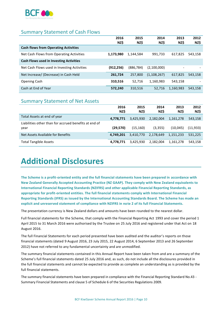

### Summary Statement of Cash Flows

|                                                | 2016<br>NZ\$ | 2015<br>NZ\$ | 2014<br>NZ\$  | 2013<br>NZ\$ | 2012<br>NZ\$ |
|------------------------------------------------|--------------|--------------|---------------|--------------|--------------|
| <b>Cash flows from Operating Activities</b>    |              |              |               |              |              |
| Net Cash Flows from Operating Activities       | 1,173,980    | 1,144,584    | 991,733       | 617,825      | 543,158      |
| <b>Cash Flows used in Investing Activities</b> |              |              |               |              |              |
| Net Cash Flows used in Investing Activities    | (912, 256)   | (886, 784)   | (2,100,000)   |              |              |
| Net Increase/ (Decrease) in Cash Held          | 261,724      | 257.800      | (1, 108, 267) | 617,825      | 543,158      |
| <b>Opening Cash</b>                            | 310.516      | 52.716       | 1,160,983     | 543,158      |              |
| Cash at End of Year                            | 572,240      | 310,516      | 52.716        | 1,160,983    | 543,158      |

### Summary Statement of Net Assets

|                                                               | 2016<br>NZ\$ | 2015<br>NZ\$ | 2014<br>NZ\$ | 2013<br>NZ\$ | 2012<br>NZ\$ |
|---------------------------------------------------------------|--------------|--------------|--------------|--------------|--------------|
| Total Assets at end of year                                   | 4.778.771    | 3,425,930    | 2,182,004    | 1,161,278    | 543,158      |
| Liabilities other than for accrued benefits at end of<br>vear | (29,570)     | (15, 160)    | (3,355)      | (10,045)     | (11, 933)    |
| Net Assets Available for Benefits                             | 4.749.201    | 3,410,770    | 2,178,649    | 1,151,233    | 531,225      |
| <b>Total Tangible Assets</b>                                  | 4.778.771    | 3.425.930    | 2,182,004    | 1.161.278    | 543,158      |

# **Additional Disclosures**

**The Scheme is a profit-oriented entity and the full financial statements have been prepared in accordance with New Zealand Generally Accepted Accounting Practice (NZ GAAP). They comply with New Zealand equivalents to International Financial Reporting Standards (NZIFRS) and other applicable Financial Reporting Standards, as appropriate for profit-oriented entities. The full financial statements comply with International Financial Reporting Standards (IFRS) as issued by the International Accounting Standards Board. The Scheme has made an explicit and unreserved statement of compliance with NZIFRS in note 2 of its full Financial Statements.**

The presentation currency is New Zealand dollars and amounts have been rounded to the nearest dollar.

Full financial statements for the Scheme, that comply with the Financial Reporting Act 1993 and cover the period 1 April 2015 to 31 March 2016 were authorised by the Trustee on 25 July 2016 and registered under that Act on 18 August 2016.

The full Financial Statements for each period presented have been audited and the auditor's reports on those financial statements (dated 9 August 2016, 23 July 2015, 22 August 2014, 6 September 2013 and 26 September 2012) have not referred to any fundamental uncertainty and are unmodified.

The summary financial statements contained in this Annual Report have been taken from and are a summary of the Scheme's full financial statements dated 25 July 2016 and, as such, do not include all the disclosures provided in the full financial statements and cannot be expected to provide as complete an understanding as is provided by the full financial statements.

The summary financial statements have been prepared in compliance with the Financial Reporting Standard No.43 - Summary Financial Statements and clause 5 of Schedule 6 of the Securities Regulations 2009.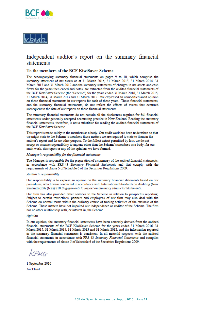



#### Independent auditor's report on the summary financial statements

#### To the members of the BCF KiwiSaver Scheme

The accompanying summary financial statements on pages 9 to 10, which comprise the summary statement of net assets as at 31 March 2016, 31 March 2015, 31 March 2014, 31 March 2013 and 31 March 2012 and the summary statements of changes in net assets and cash flows for the years then ended and notes, are extracted from the audited financial statements of the BCF KiwiSaver Scheme (the "Scheme") for the years ended 31 March 2016, 31 March 2015, 31 March 2014, 31 March 2013 and 31 March 2012. We expressed an unmodified audit opinion on those financial statements in our reports for each of those years. Those financial statements, and the summary financial statements, do not reflect the effects of events that occurred subsequent to the date of our reports on those financial statements.

The summary financial statements do not contain all the disclosures required for full financial statements under generally accepted accounting practice in New Zealand. Reading the summary financial statements, therefore, is not a substitute for reading the audited financial statements of the BCF KiwiSaver Scheme.

This report is made solely to the members as a body. Our audit work has been undertaken so that we might state to the Scheme's members those matters we are required to state to them in the auditor's report and for no other purpose. To the fullest extent permitted by law, we do not accept or assume responsibility to anyone other than the Scheme's members as a body, for our audit work, this report or any of the opinions we have formed.

#### Manager's responsibility for the financial statements

The Manager is responsible for the preparation of a summary of the audited financial statements, in accordance with FRS-43 Summary Financial Statements and that comply with the requirements of clause 5 of Schedule 6 of the Securities Regulations 2009.

#### Auditor's responsibility

Our responsibility is to express an opinion on the summary financial statements based on our procedures, which were conducted in accordance with International Standards on Auditing (New Zealand) (ISA (NZ)) 810 Engagements to Report on Summary Financial Statements.

Our firm has also provided other services to the Scheme in relation to prospectus reporting. Subject to certain restrictions, partners and employees of our firm may also deal with the Scheme on normal terms within the ordinary course of trading activities of the business of the Scheme. These matters have not impaired our independence as auditor of the Scheme. The firm has no other relationship with, or interest in, the Scheme.

#### **Opinion**

In our opinion, the summary financial statements have been correctly derived from the audited financial statements of the BCF KiwiSaver Scheme for the years ended 31 March 2016, 31 March 2015, 31 March 2014, 31 March 2013 and 31 March 2012, and the information reported in the summary financial statements is consistent, in all material respects, with the audited financial statements in accordance with FRS-43 Summary Financial Statements and complies with the requirements of clause 5 of Schedule 6 of the Securities Regulations 2009.

KPMG

1 September 2016 Auckland